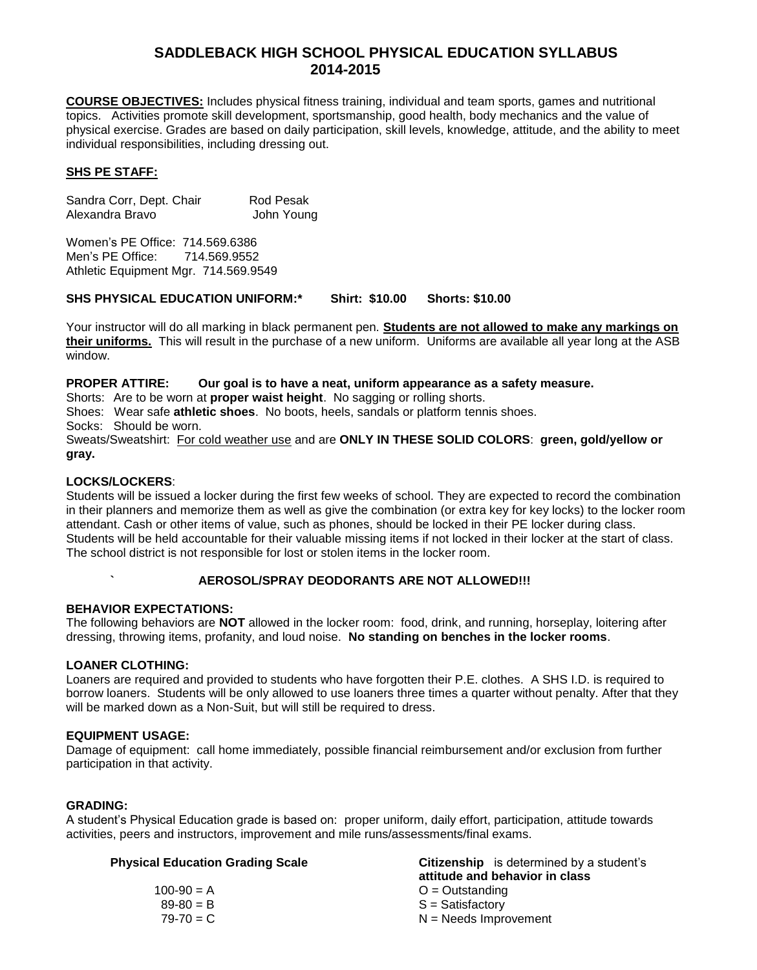# **SADDLEBACK HIGH SCHOOL PHYSICAL EDUCATION SYLLABUS 2014-2015**

**COURSE OBJECTIVES:** Includes physical fitness training, individual and team sports, games and nutritional topics. Activities promote skill development, sportsmanship, good health, body mechanics and the value of physical exercise. Grades are based on daily participation, skill levels, knowledge, attitude, and the ability to meet individual responsibilities, including dressing out.

#### **SHS PE STAFF:**

Sandra Corr, Dept. Chair Rod Pesak Alexandra Bravo John Young

Women's PE Office: 714.569.6386 Men's PE Office: 714.569.9552 Athletic Equipment Mgr. 714.569.9549

#### **SHS PHYSICAL EDUCATION UNIFORM:\* Shirt: \$10.00 Shorts: \$10.00**

Your instructor will do all marking in black permanent pen. **Students are not allowed to make any markings on their uniforms.** This will result in the purchase of a new uniform. Uniforms are available all year long at the ASB window.

#### **PROPER ATTIRE: Our goal is to have a neat, uniform appearance as a safety measure.**

Shorts: Are to be worn at **proper waist height**. No sagging or rolling shorts.

Shoes: Wear safe **athletic shoes**. No boots, heels, sandals or platform tennis shoes.

Socks: Should be worn.

Sweats/Sweatshirt: For cold weather use and are **ONLY IN THESE SOLID COLORS**: **green, gold/yellow or gray.**

#### **LOCKS/LOCKERS**:

Students will be issued a locker during the first few weeks of school. They are expected to record the combination in their planners and memorize them as well as give the combination (or extra key for key locks) to the locker room attendant. Cash or other items of value, such as phones, should be locked in their PE locker during class. Students will be held accountable for their valuable missing items if not locked in their locker at the start of class. The school district is not responsible for lost or stolen items in the locker room.

### **` AEROSOL/SPRAY DEODORANTS ARE NOT ALLOWED!!!**

#### **BEHAVIOR EXPECTATIONS:**

The following behaviors are **NOT** allowed in the locker room: food, drink, and running, horseplay, loitering after dressing, throwing items, profanity, and loud noise. **No standing on benches in the locker rooms**.

#### **LOANER CLOTHING:**

Loaners are required and provided to students who have forgotten their P.E. clothes. A SHS I.D. is required to borrow loaners. Students will be only allowed to use loaners three times a quarter without penalty. After that they will be marked down as a Non-Suit, but will still be required to dress.

#### **EQUIPMENT USAGE:**

Damage of equipment: call home immediately, possible financial reimbursement and/or exclusion from further participation in that activity.

#### **GRADING:**

A student's Physical Education grade is based on: proper uniform, daily effort, participation, attitude towards activities, peers and instructors, improvement and mile runs/assessments/final exams.

#### **Physical Education Grading Scale Citizenship** is determined by a student's

|               | attitude and behavior in class |
|---------------|--------------------------------|
| $100-90 = A$  | $O =$ Outstanding              |
| $89 - 80 = B$ | $S =$ Satisfactory             |
| $79-70 = C$   | $N =$ Needs Improvement        |
|               |                                |